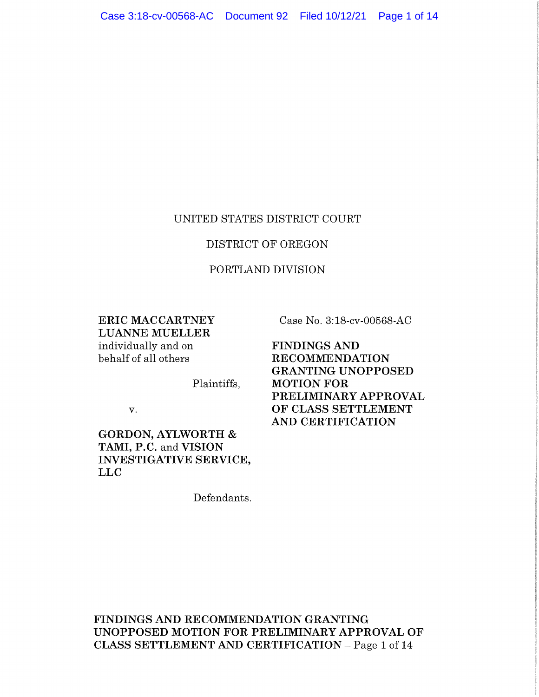#### UNITED STATES DISTRICT COURT

# DISTRICT OF OREGON

#### PORTLAND DIVISION

**ERIC MACCARTNEY LUANNE MUELLER**  individually and on behalf of all others

Case No. 3:18-cv-00568-AC

**FINDINGS AND RECOMMENDATION GRANTING UNOPPOSED MOTION FOR PRELIMINARY APPROVAL OF CLASS SETTLEMENT AND CERTIFICATION** 

v.

**GORDON, AYLWORTH** & **TAMI, P.C.** and **VISION INVESTIGATIVE SERVICE, LLC** 

Defendants.

Plaintiffs,

**FINDINGS AND RECOMMENDATION GRANTING UNOPPOSED MOTION FOR PRELIMINARY APPROVAL OF CLASS SETTLEMENT AND CERTIFICATION** - Page 1 of 14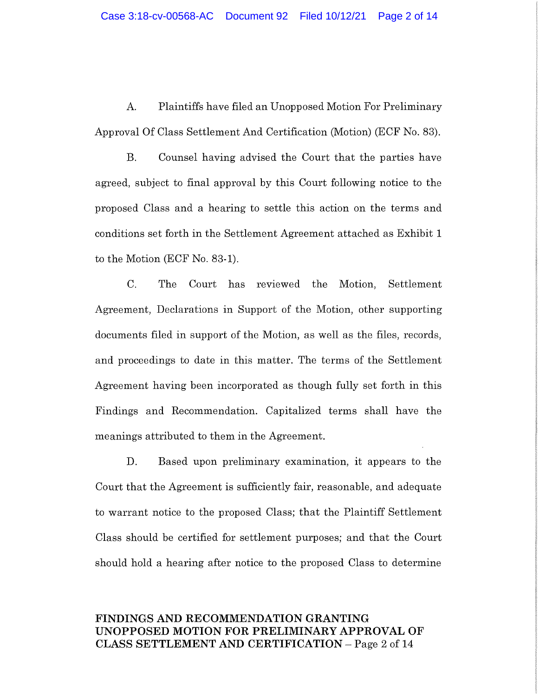A. Plaintiffs have filed an Unopposed Motion For Preliminary Approval Of Class Settlement And Certification (Motion) (ECF No. 83).

B. Counsel having advised the Court that the parties have agreed, subject to final approval by this Court following notice to the proposed Class and a hearing to settle this action on the terms and conditions set forth in the Settlement Agreement attached as Exhibit 1 to the Motion (ECF No. 83-1).

C. The Court has reviewed the Motion, Settlement Agreement, Declarations in Support of the Motion, other supporting documents filed in support of the Motion, as well as the files, records, and proceedings to date in this matter. The terms of the Settlement Agreement having been incorporated as though fully set forth in this Findings and Recommendation. Capitalized terms shall have the meanings attributed to them in the Agreement.

D. Based upon preliminary examination, it appears to the Court that the Agreement is sufficiently fair, reasonable, and adequate to warrant notice to the proposed Class; that the Plaintiff Settlement Class should be certified for settlement purposes; and that the Court should hold a hearing after notice to the proposed Class to determine

## **FINDINGS AND RECOMMENDATION GRANTING UNOPPOSED MOTION FOR PRELIMINARY APPROVAL OF CLASS SETTLEMENT AND CERTIFICATION** - Page 2 of 14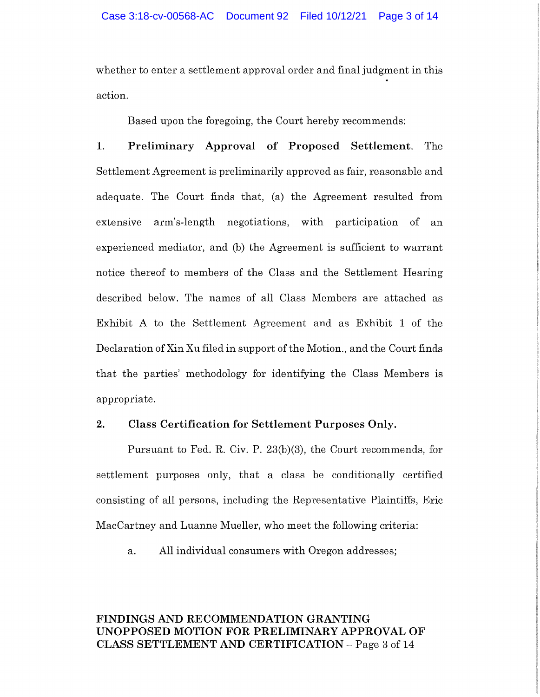whether to enter a settlement approval order and final judgment in this action.

Based upon the foregoing, the Court hereby recommends:

**1. Preliminary Approval of Proposed Settlement.** The Settlement Agreement is preliminarily approved as fair, reasonable and adequate. The Court finds that, (a) the Agreement resulted from extensive arm's-length negotiations, with participation of an experienced mediator, and (b) the Agreement is sufficient to warrant notice thereof to members of the Class and the Settlement Hearing described below. The names of all Class Members are attached as Exhibit A to the Settlement Agreement and as Exhibit 1 of the Declaration ofXin Xu filed in support of the Motion., and the Court finds that the parties' methodology for identifying the Class Members is appropriate.

#### **2. Class Certification for Settlement Purposes Only.**

Pursuant to Fed. R. Civ. P. 23(b)(3), the Court recommends, for settlement purposes only, that a class be conditionally certified consisting of all persons, including the Representative Plaintiffs, Eric MacCartney and Luanne Mueller, who meet the following criteria:

a. All individual consumers with Oregon addresses;

# **FINDINGS AND RECOMMENDATION GRANTING UNOPPOSED MOTION FOR PRELIMINARY APPROVAL OF CLASS SETTLEMENT AND CERTIFICATION** - Page 3 of 14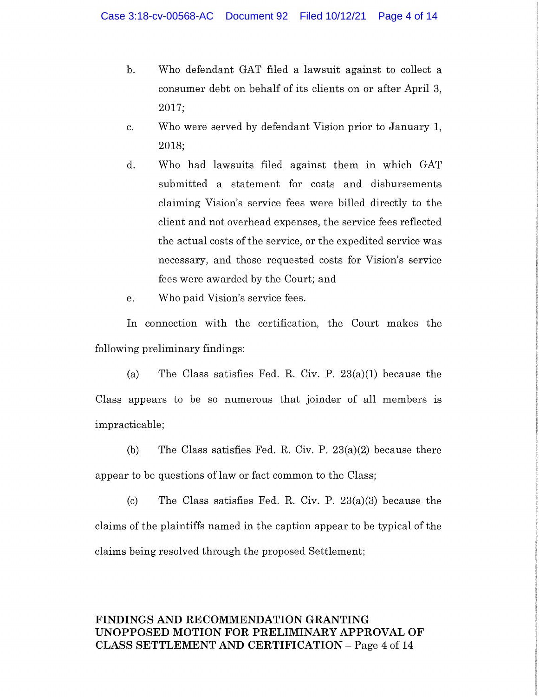- b. Who defendant GAT filed a lawsuit against to collect a consumer debt on behalf of its clients on or after April 3, 2017;
- c. Who were served by defendant Vision prior to January 1, 2018;
- d. Who had lawsuits filed against them in which GAT submitted a statement for costs and disbursements claiming Vision's service fees were billed directly to the client and not overhead expenses, the service fees reflected the actual costs of the service, or the expedited service was necessary, and those requested costs for Vision's service fees were awarded by the Court; and
- e. Who paid Vision's service fees.

In connection with the certification, the Court makes the following preliminary findings:

(a) The Class satisfies Fed. R. Civ. P.  $23(a)(1)$  because the Class appears to be so numerous that joinder of all members is impracticable;

(b) The Class satisfies Fed. R. Civ. P. 23(a)(2) because there appear to be questions of law or fact common to the Class;

(c) The Class satisfies Fed. R. Civ. P. 23(a)(3) because the claims of the plaintiffs named in the caption appear to be typical of the claims being resolved through the proposed Settlement;

# **FINDINGS AND RECOMMENDATION GRANTING UNOPPOSED MOTION FOR PRELIMINARY APPROVAL OF CLASS SETTLEMENT AND CERTIFICATION** - Page 4 of 14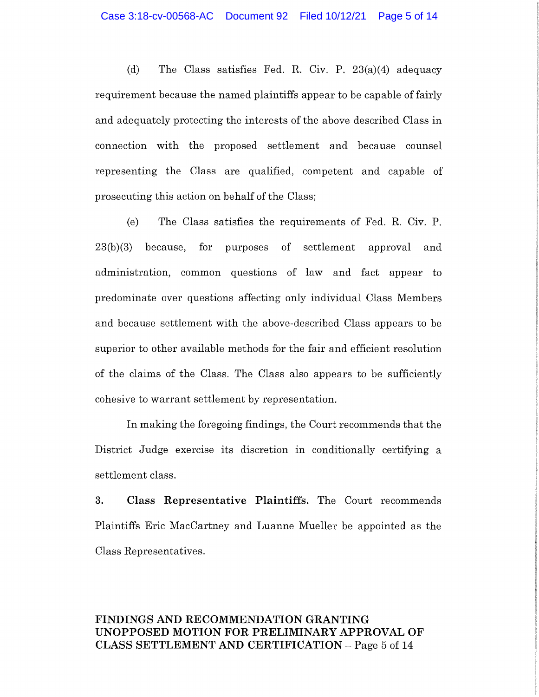(d) The Class satisfies Fed. R. Civ. P. 23(a)(4) adequacy requirement because the named plaintiffs appear to be capable of fairly and adequately protecting the interests of the above described Class in connection with the proposed settlement and because counsel representing the Class are qualified, competent and capable of prosecuting this action on behalf of the Class;

(e) The Class satisfies the requirements of Fed. R. Civ. P. 23(b)(3) because, for purposes of settlement approval and administration, common questions of law and fact appear to predominate over questions affecting only individual Class Members and because settlement with the above-described Class appears to be superior to other available methods for the fair and efficient resolution of the claims of the Class. The Class also appears to be sufficiently cohesive to warrant settlement by representation.

In making the foregoing findings, the Court recommends that the District Judge exercise its discretion in conditionally certifying a settlement class.

**3. Class Representative Plaintiffs.** The Court recommends Plaintiffs Eric MacCartney and Luanne Mueller be appointed as the Class Representatives.

## **FINDINGS AND RECOMMENDATION GRANTING UNOPPOSED MOTION FOR PRELIMINARY APPROVAL OF CLASS SETTLEMENT AND CERTIFICATION** - Page 5 of 14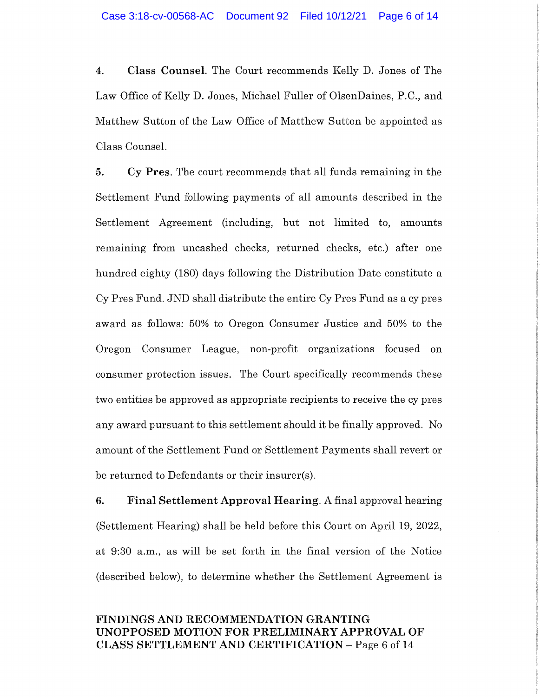**4. Class Counsel.** The Court recommends Kelly D. Jones of The Law Office of Kelly D. Jones, Michael Fuller of OlsenDaines, P.C., and Matthew Sutton of the Law Office of Matthew Sutton be appointed as Class Counsel.

**5. Cy Pres.** The court recommends that all funds remaining in the Settlement Fund following payments of all amounts described in the Settlement Agreement (including, but not limited to, amounts remaining from uncashed checks, returned checks, etc.) after one hundred eighty (180) days following the Distribution Date constitute a Cy Pres Fund. JND shall distribute the entire Cy Pres Fund as a cy pres award as follows: 50% to Oregon Consumer Justice and 50% to the Oregon Consumer League, non-profit organizations focused on consumer protection issues. The Court specifically recommends these two entities be approved as appropriate recipients to receive the cy pres any award pursuant to this settlement should it be finally approved. No amount of the Settlement Fund or Settlement Payments shall revert or be returned to Defendants or their insurer(s).

**6. Final Settlement Approval Hearing.** A final approval hearing (Settlement Hearing) shall be held before this Court on April 19, 2022, at 9:30 a.m., as will be set forth in the final version of the Notice (described below), to determine whether the Settlement Agreement is

# **FINDINGS AND RECOMMENDATION GRANTING UNOPPOSED MOTION FOR PRELIMINARY APPROVAL OF CLASS SETTLEMENT AND CERTIFICATION** - Page 6 of 14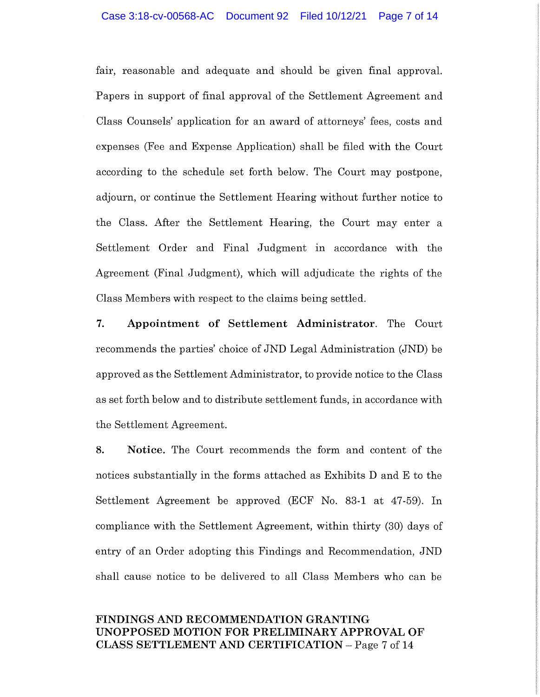fair, reasonable and adequate and should be given final approval. Papers in support of final approval of the Settlement Agreement and Class Counsels' application for an award of attorneys' fees, costs and expenses (Fee and Expense Application) shall be filed with the Court according to the schedule set forth below. The Court may postpone, adjourn, or continue the Settlement Hearing without further notice to the Class. After the Settlement Hearing, the Court may enter a Settlement Order and Final Judgment in accordance with the Agreement (Final Judgment), which will adjudicate the rights of the Class Members with respect to the claims being settled.

**7. Appointment of Settlement Administrator.** The Court recommends the parties' choice of JND Legal Administration (JND) be approved as the Settlement Administrator, to provide notice to the Class as set forth below and to distribute settlement funds, in accordance with the Settlement Agreement.

**8. Notice.** The Court recommends the form and content of the notices substantially in the forms attached as Exhibits D and E to the Settlement Agreement be approved (ECF No. 83-1 at 47-59). In compliance with the Settlement Agreement, within thirty (30) days of entry of an Order adopting this Findings and Recommendation, JND shall cause notice to be delivered to all Class Members who can be

# **FINDINGS AND RECOMMENDATION GRANTING UNOPPOSED MOTION FOR PRELIMINARY APPROVAL OF CLASS SETTLEMENT AND CERTIFICATION** - Page 7 of 14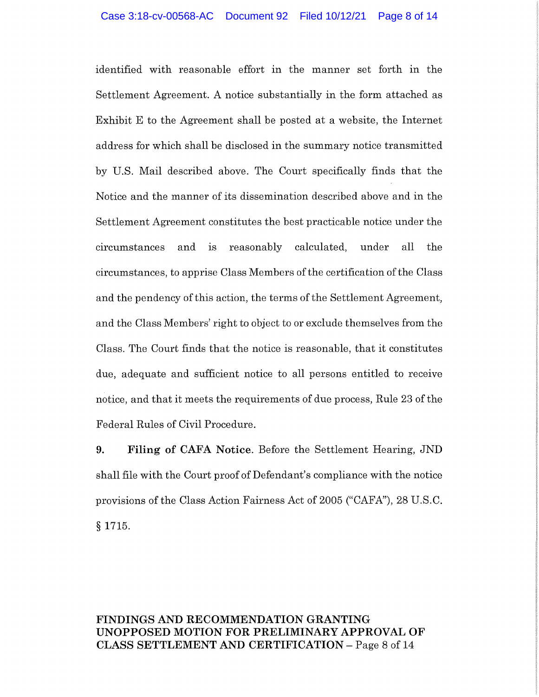identified with reasonable effort in the manner set forth in the Settlement Agreement. A notice substantially in the form attached as Exhibit E to the Agreement shall be posted at a website, the Internet address for which shall be disclosed in the summary notice transmitted by U.S. Mail described above. The Court specifically finds that the Notice and the manner of its dissemination described above and in the Settlement Agreement constitutes the best practicable notice under the circumstances and 1s reasonably calculated, under all the circumstances, to apprise Class Members of the certification of the Class and the pendency of this action, the terms of the Settlement Agreement, and the Class Members' right to object to or exclude themselves from the Class. The Court finds that the notice is reasonable, that it constitutes due, adequate and sufficient notice to all persons entitled to receive notice, and that it meets the requirements of due process, Rule 23 of the Federal Rules of Civil Procedure.

**9. Filing of CAFA Notice.** Before the Settlement Hearing, JND shall file with the Court proof of Defendant's compliance with the notice provisions of the Class Action Fairness Act of 2005 ("CAFA"), 28 U.S.C. § 1715.

# **FINDINGS AND RECOMMENDATION GRANTING UNOPPOSED MOTION FOR PRELIMINARY APPROVAL OF CLASS SETTLEMENT AND CERTIFICATION** - Page 8 of 14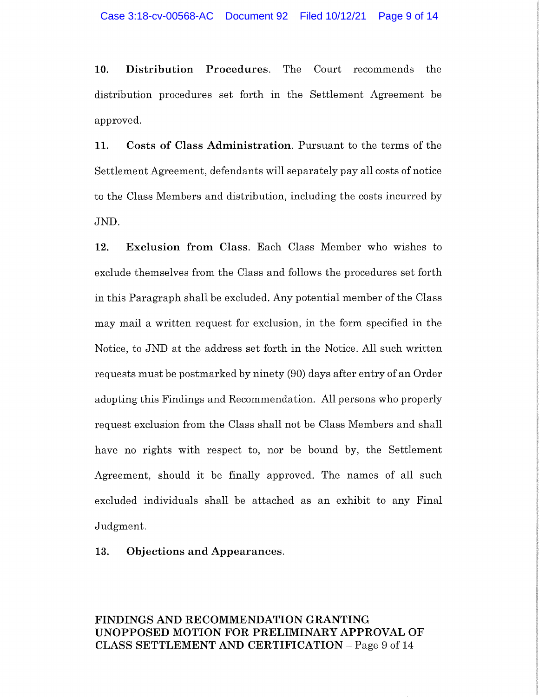**10. Distribution Procedures.** The Court recommends the distribution procedures set forth in the Settlement Agreement be approved.

**11. Costs of Class Administration.** Pursuant to the terms of the Settlement Agreement, defendants will separately pay all costs of notice to the Class Members and distribution, including the costs incurred by JND.

**12. Exclusion from Class.** Each Class Member who wishes to exclude themselves from the Class and follows the procedures set forth in this Paragraph shall be excluded. Any potential member of the Class may mail a written request for exclusion, in the form specified in the Notice, to JND at the address set forth in the Notice. All such written requests must be postmarked by ninety (90) days after entry of an Order adopting this Findings and Recommendation. All persons who properly request exclusion from the Class shall not be Class Members and shall have no rights with respect to, nor be bound by, the Settlement Agreement, should it be finally approved. The names of all such excluded individuals shall be attached as an exhibit to any Final Judgment.

**13. Objections and Appearances.** 

#### **FINDINGS AND RECOMMENDATION GRANTING UNOPPOSED MOTION FOR PRELIMINARY APPROVAL OF CLASS SETTLEMENT AND CERTIFICATION** - Page 9 of 14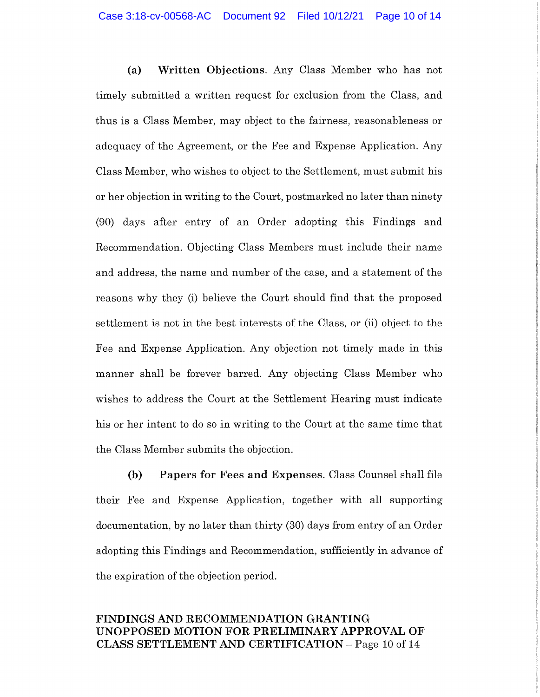**(a) Written Objections.** Any Class Member who has not timely submitted a written request for exclusion from the Class, and thus is a Class Member, may object to the fairness, reasonableness or adequacy of the Agreement, or the Fee and Expense Application. Any Class Member, who wishes to object to the Settlement, must submit his or her objection in writing to the Court, postmarked no later than ninety (90) days after entry of an Order adopting this Findings and Recommendation. Objecting Class Members must include their name and address, the name and number of the case, and a statement of the reasons why they (i) believe the Court should find that the proposed settlement is not in the best interests of the Class, or (ii) object to the Fee and Expense Application. Any objection not timely made in this manner shall be forever barred. Any objecting Class Member who wishes to address the Court at the Settlement Hearing must indicate his or her intent to do so in writing to the Court at the same time that the Class Member submits the objection.

**(b) Papers for Fees and Expenses.** Class Counsel shall file their Fee and Expense Application, together with all supporting documentation, by no later than thirty (30) days from entry of an Order adopting this Findings and Recommendation, sufficiently in advance of the expiration of the objection period.

# **FINDINGS AND RECOMMENDATION GRANTING UNOPPOSED MOTION FOR PRELIMINARY APPROVAL OF CLASS SETTLEMENT AND CERTIFICATION** - Page 10 of 14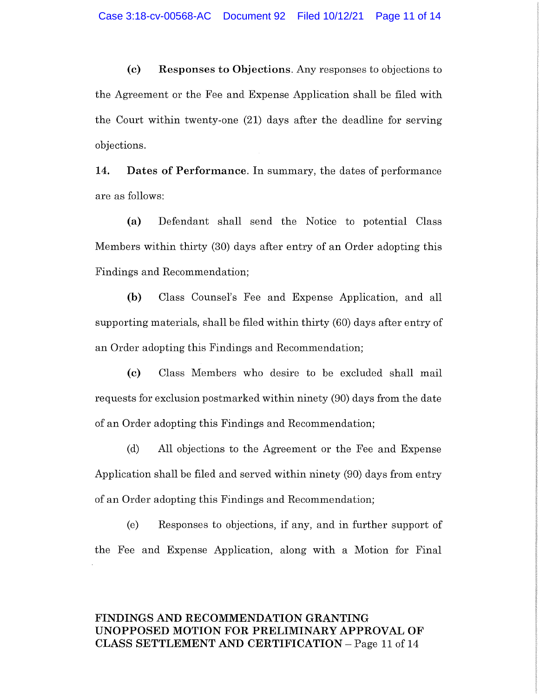**(c) Responses to Objections.** Any responses to objections to the Agreement or the Fee and Expense Application shall be filed with the Court within twenty-one (21) days after the deadline for serving objections.

**14. Dates of Performance.** In summary, the dates of performance are as follows:

**(a)** Defendant shall send the Notice to potential Class Members within thirty (30) days after entry of an Order adopting this Findings and Recommendation;

**(b)** Class Counsel's Fee and Expense Application, and all supporting materials, shall be filed within thirty (60) days after entry of an Order adopting this Findings and Recommendation;

**(c)** Class Members who desire to be excluded shall mail requests for exclusion postmarked within ninety (90) days from the date of an Order adopting this Findings and Recommendation;

(d) All objections to the Agreement or the Fee and Expense Application shall be filed and served within ninety (90) days from entry of an Order adopting this Findings and Recommendation;

(e) Responses to objections, if any, and in further support of the Fee and Expense Application, along with a Motion for Final

# **FINDINGS AND RECOMMENDATION GRANTING UNOPPOSED MOTION FOR PRELIMINARY APPROVAL OF CLASS SETTLEMENT AND CERTIFICATION** - Page 11 of 14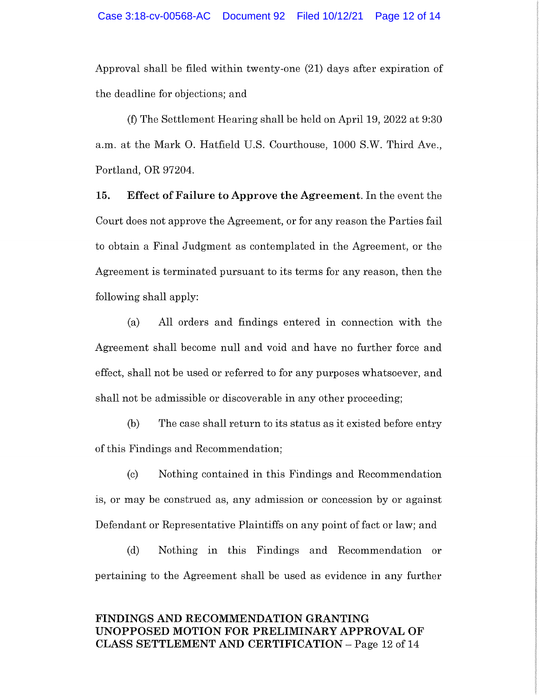Approval shall be filed within twenty-one (21) days after expiration of the deadline for objections; and

(f) The Settlement Hearing shall be held on April 19, 2022 at 9:30 a.m. at the Mark 0. Hatfield U.S. Courthouse, 1000 S.W. Third Ave., Portland, OR 97204.

**15. Effect of Failure to Approve the Agreement.** In the event the Court does not approve the Agreement, or for any reason the Parties fail to obtain a Final Judgment as contemplated in the Agreement, or the Agreement is terminated pursuant to its terms for any reason, then the following shall apply:

(a) All orders and findings entered in connection with the Agreement shall become null and void and have no further force and effect, shall not be used or referred to for any purposes whatsoever, and shall not be admissible or discoverable in any other proceeding;

(b) The case shall return to its status as it existed before entry of this Findings and Recommendation;

(c) Nothing contained in this Findings and Recommendation is, or may be construed as, any admission or concession by or against Defendant or Representative Plaintiffs on any point of fact or law; and

(d) Nothing in this Findings and Recommendation or pertaining to the Agreement shall be used as evidence in any further

## **FINDINGS AND RECOMMENDATION GRANTING UNOPPOSED MOTION FOR PRELIMINARY APPROVAL OF CLASS SETTLEMENT AND CERTIFICATION** - Page 12 of 14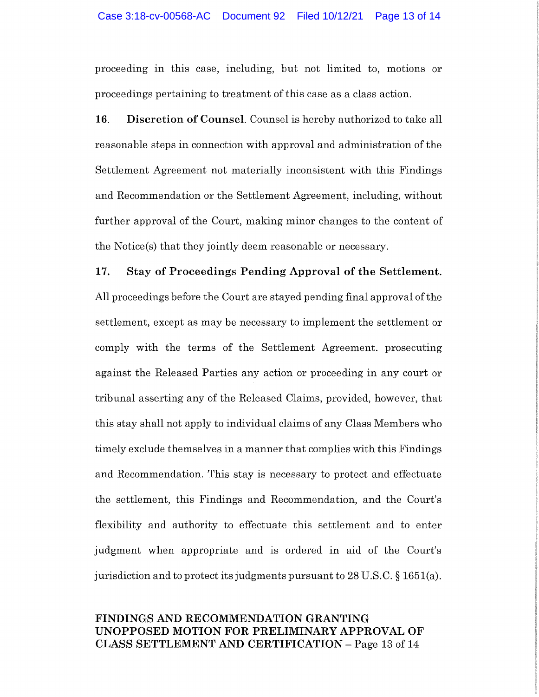proceeding in this case, including, but not limited to, motions or proceedings pertaining to treatment of this case as a class action.

**16. Discretion of Counsel.** Counsel is hereby authorized to take all reasonable steps in connection with approval and administration of the Settlement Agreement not materially inconsistent with this Findings and Recommendation or the Settlement Agreement, including, without further approval of the Court, making minor changes to the content of the Notice(s) that they jointly deem reasonable or necessary.

#### **17. Stay of Proceedings Pending Approval of the Settlement.**

All proceedings before the Court are stayed pending final approval of the settlement, except as may be necessary to implement the settlement or comply with the terms of the Settlement Agreement. prosecuting against the Released Parties any action or proceeding in any court or tribunal asserting any of the Released Claims, provided, however, that this stay shall not apply to individual claims of any Class Members who timely exclude themselves in a manner that complies with this Findings and Recommendation. This stay is necessary to protect and effectuate the settlement, this Findings and Recommendation, and the Court's flexibility and authority to effectuate this settlement and to enter judgment when appropriate and is ordered in aid of the Court's jurisdiction and to protect its judgments pursuant to 28 U.S.C. § 1651(a).

# **FINDINGS AND RECOMMENDATION GRANTING UNOPPOSED MOTION FOR PRELIMINARY APPROVAL OF CLASS SETTLEMENT AND CERTIFICATION** - Page 13 of 14